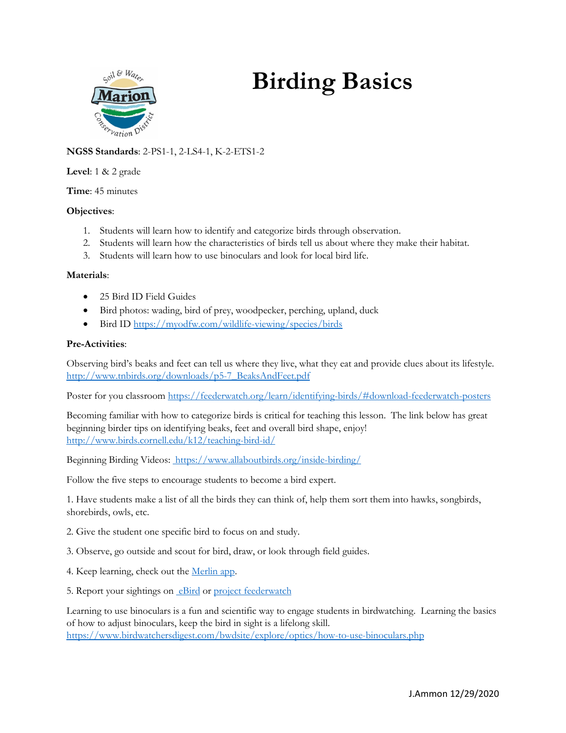

# **Birding Basics**

# **NGSS Standards**: 2-PS1-1, 2-LS4-1, K-2-ETS1-2

#### **Level**: 1 & 2 grade

**Time**: 45 minutes

## **Objectives**:

- 1. Students will learn how to identify and categorize birds through observation.
- 2. Students will learn how the characteristics of birds tell us about where they make their habitat.
- 3. Students will learn how to use binoculars and look for local bird life.

#### **Materials**:

- 25 Bird ID Field Guides
- Bird photos: wading, bird of prey, woodpecker, perching, upland, duck
- Bird ID<https://myodfw.com/wildlife-viewing/species/birds>

## **Pre-Activities**:

Observing bird's beaks and feet can tell us where they live, what they eat and provide clues about its lifestyle. [http://www.tnbirds.org/downloads/p5-7\\_BeaksAndFeet.pdf](http://www.tnbirds.org/downloads/p5-7_BeaksAndFeet.pdf)

Poster for you classroo[m https://feederwatch.org/learn/identifying-birds/#download-feederwatch-posters](https://feederwatch.org/learn/identifying-birds/#download-feederwatch-posters)

Becoming familiar with how to categorize birds is critical for teaching this lesson. The link below has great beginning birder tips on identifying beaks, feet and overall bird shape, enjoy! <http://www.birds.cornell.edu/k12/teaching-bird-id/>

Beginning Birding Videos:<https://www.allaboutbirds.org/inside-birding/>

Follow the five steps to encourage students to become a bird expert.

1. Have students make a list of all the birds they can think of, help them sort them into hawks, songbirds, shorebirds, owls, etc.

- 2. Give the student one specific bird to focus on and study.
- 3. Observe, go outside and scout for bird, draw, or look through field guides.
- 4. Keep learning, check out the [Merlin app.](https://merlin.allaboutbirds.org/)
- 5. Report your sightings o[n eBird](https://ebird.org/region/US-OR) or [project feederwatch](https://feederwatch.org/)

Learning to use binoculars is a fun and scientific way to engage students in birdwatching. Learning the basics of how to adjust binoculars, keep the bird in sight is a lifelong skill. <https://www.birdwatchersdigest.com/bwdsite/explore/optics/how-to-use-binoculars.php>